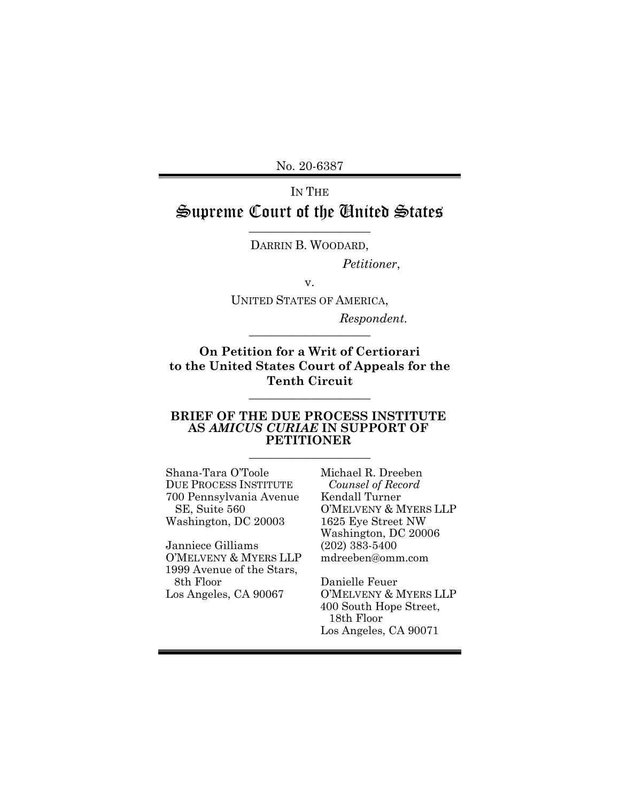No. 20-6387

# IN THE Supreme Court of the United States

\_\_\_\_\_\_\_\_\_\_\_\_\_\_\_\_\_\_\_\_ DARRIN B. WOODARD,

*Petitioner*,

v.

UNITED STATES OF AMERICA,

 *Respondent.*  $\_$ 

**On Petition for a Writ of Certiorari to the United States Court of Appeals for the Tenth Circuit** 

 $\_$ 

#### **BRIEF OF THE DUE PROCESS INSTITUTE AS** *AMICUS CURIAE* **IN SUPPORT OF PETITIONER**

 $\_$ 

Shana-Tara O'Toole DUE PROCESS INSTITUTE 700 Pennsylvania Avenue SE, Suite 560 Washington, DC 20003

Janniece Gilliams O'MELVENY & MYERS LLP 1999 Avenue of the Stars, 8th Floor Los Angeles, CA 90067

Michael R. Dreeben *Counsel of Record* Kendall Turner O'MELVENY & MYERS LLP 1625 Eye Street NW Washington, DC 20006 (202) 383-5400 mdreeben@omm.com

Danielle Feuer O'MELVENY & MYERS LLP 400 South Hope Street, 18th Floor Los Angeles, CA 90071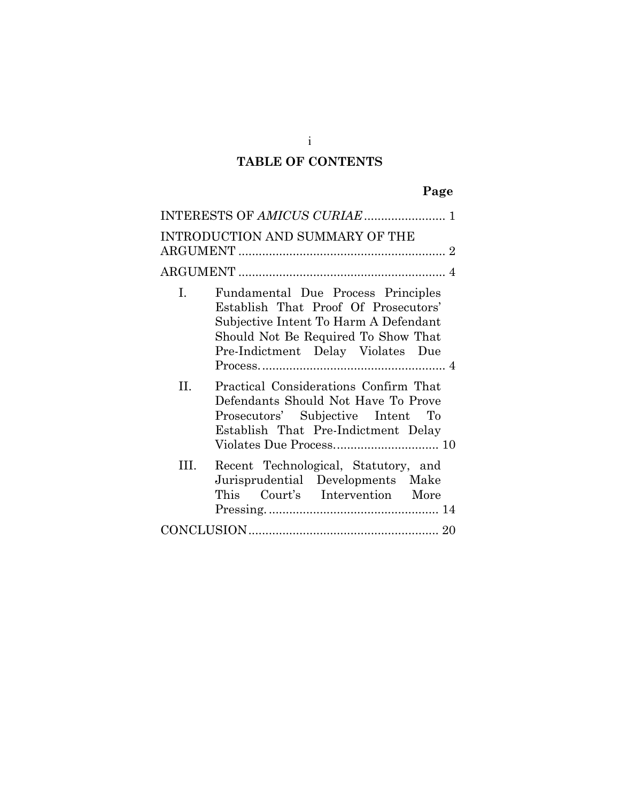## **TABLE OF CONTENTS**

# **Page**

|      | INTERESTS OF AMICUS CURIAE  1                                                                                                                                                                   |
|------|-------------------------------------------------------------------------------------------------------------------------------------------------------------------------------------------------|
|      | INTRODUCTION AND SUMMARY OF THE                                                                                                                                                                 |
|      |                                                                                                                                                                                                 |
| I.   | Fundamental Due Process Principles<br>Establish That Proof Of Prosecutors'<br>Subjective Intent To Harm A Defendant<br>Should Not Be Required To Show That<br>Pre-Indictment Delay Violates Due |
| II.  | Practical Considerations Confirm That<br>Defendants Should Not Have To Prove<br>Prosecutors' Subjective Intent To<br>Establish That Pre-Indictment Delay                                        |
| III. | Recent Technological, Statutory, and<br>Jurisprudential Developments Make<br>This Court's Intervention More                                                                                     |
|      |                                                                                                                                                                                                 |

i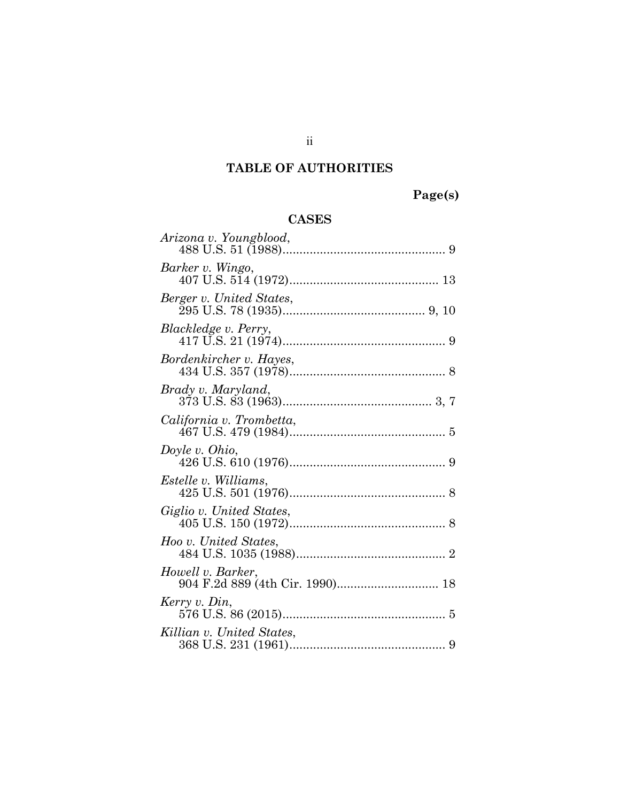# **TABLE OF AUTHORITIES**

**Page(s)** 

## **CASES**

| Arizona v. Youngblood,                               |
|------------------------------------------------------|
| Barker v. Wingo,                                     |
| Berger v. United States,                             |
| Blackledge v. Perry,                                 |
| Bordenkircher v. Hayes,                              |
| Brady v. Maryland,                                   |
| California v. Trombetta,                             |
| Doyle v. Ohio,                                       |
| Estelle v. Williams,                                 |
| Giglio v. United States,                             |
| Hoo v. United States,                                |
| Howell v. Barker,<br>904 F.2d 889 (4th Cir. 1990) 18 |
| Kerry v. Din,                                        |
| Killian v. United States,                            |

ii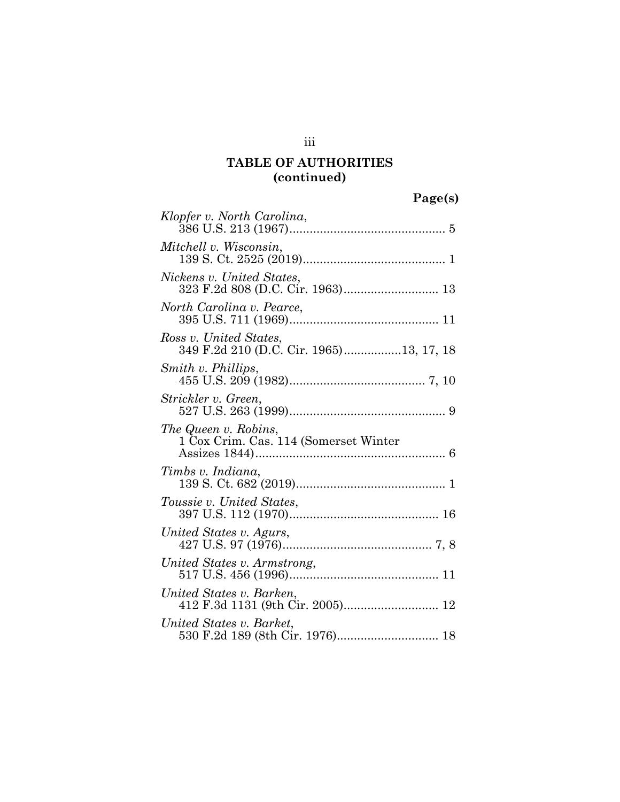## **TABLE OF AUTHORITIES (continued)**

**Page(s)**

| Klopfer v. North Carolina,                                        |
|-------------------------------------------------------------------|
| Mitchell v. Wisconsin,                                            |
| Nickens v. United States,<br>323 F.2d 808 (D.C. Cir. 1963) 13     |
| North Carolina v. Pearce,                                         |
| Ross v. United States,<br>349 F.2d 210 (D.C. Cir. 1965)13, 17, 18 |
| Smith v. Phillips,                                                |
| Strickler v. Green,                                               |
| The Queen v. Robins,<br>1 Cox Crim. Cas. 114 (Somerset Winter     |
| Timbs v. Indiana,                                                 |
| Toussie v. United States,                                         |
|                                                                   |
| United States v. Agurs,                                           |
| United States v. Armstrong,                                       |
| United States v. Barken,                                          |

iii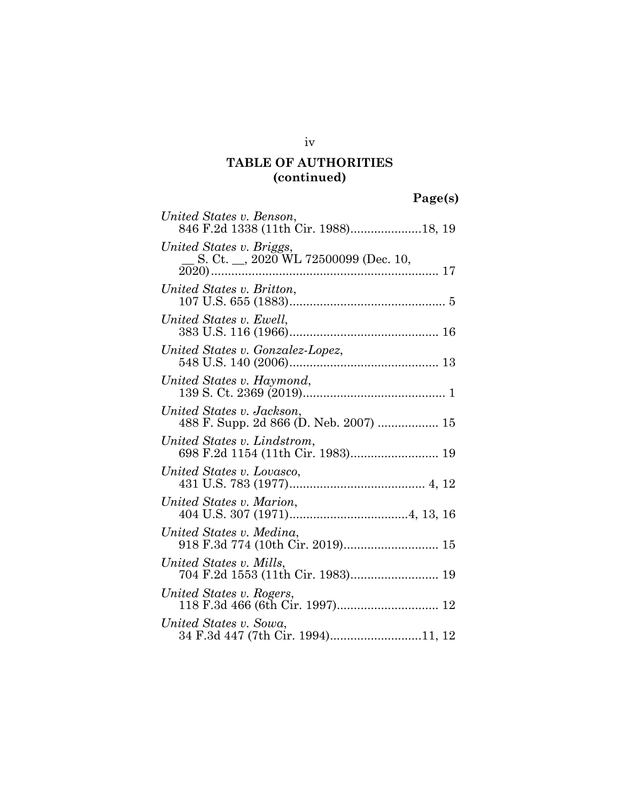## **TABLE OF AUTHORITIES (continued)**

**Page(s)**

| United States v. Benson,<br>846 F.2d 1338 (11th Cir. 1988)18, 19       |
|------------------------------------------------------------------------|
| United States v. Briggs,<br>S. Ct. $\_\_$ , 2020 WL 72500099 (Dec. 10, |
| United States v. Britton,                                              |
| United States v. Ewell,                                                |
| United States v. Gonzalez-Lopez,                                       |
| United States v. Haymond,                                              |
| United States v. Jackson,<br>488 F. Supp. 2d 866 (D. Neb. 2007)  15    |
| United States v. Lindstrom,                                            |
| United States v. Lovasco,                                              |
| United States v. Marion,                                               |
| United States v. Medina,<br>918 F.3d 774 (10th Cir. 2019) 15           |
| United States v. Mills,<br>704 F.2d 1553 (11th Cir. 1983) 19           |
| United States v. Rogers,                                               |
| United States v. Sowa,<br>34 F.3d 447 (7th Cir. 1994)11, 12            |

iv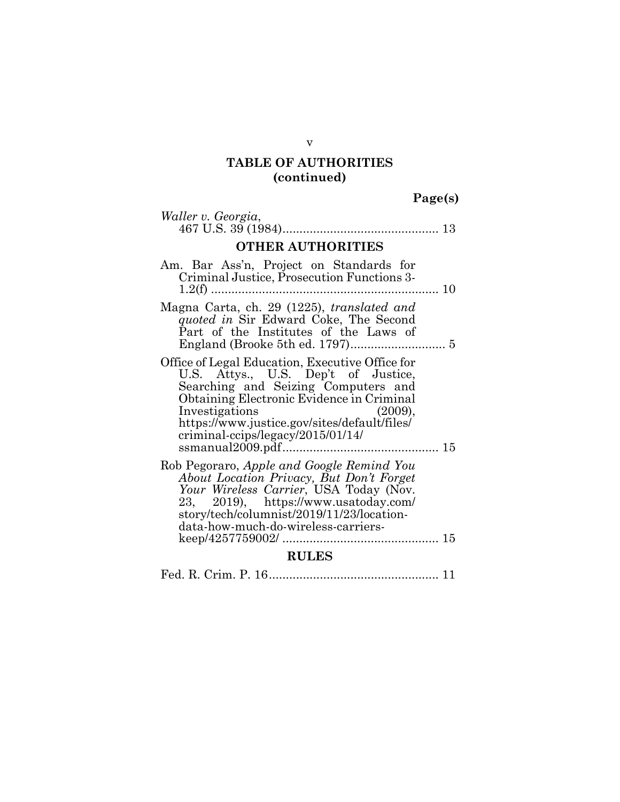## **TABLE OF AUTHORITIES (continued)**

**Page(s)**

| Waller v. Georgia,                                                                                                                                                                                                                                                                           |  |  |
|----------------------------------------------------------------------------------------------------------------------------------------------------------------------------------------------------------------------------------------------------------------------------------------------|--|--|
| <b>OTHER AUTHORITIES</b>                                                                                                                                                                                                                                                                     |  |  |
| Am. Bar Ass'n, Project on Standards for<br>Criminal Justice, Prosecution Functions 3-                                                                                                                                                                                                        |  |  |
| Magna Carta, ch. 29 (1225), translated and<br>quoted in Sir Edward Coke, The Second<br>Part of the Institutes of the Laws of                                                                                                                                                                 |  |  |
| Office of Legal Education, Executive Office for<br>U.S. Attys., U.S. Dep't of Justice,<br>Searching and Seizing Computers and<br>Obtaining Electronic Evidence in Criminal<br>Investigations<br>(2009),<br>https://www.justice.gov/sites/default/files/<br>criminal-ccips/legacy/2015/01/14/ |  |  |
| Rob Pegoraro, Apple and Google Remind You<br>About Location Privacy, But Don't Forget<br>Your Wireless Carrier, USA Today (Nov.<br>23, 2019), https://www.usatoday.com/<br>story/tech/columnist/2019/11/23/location-<br>data-how-much-do-wireless-carriers-                                  |  |  |
| <b>RULES</b>                                                                                                                                                                                                                                                                                 |  |  |
|                                                                                                                                                                                                                                                                                              |  |  |

v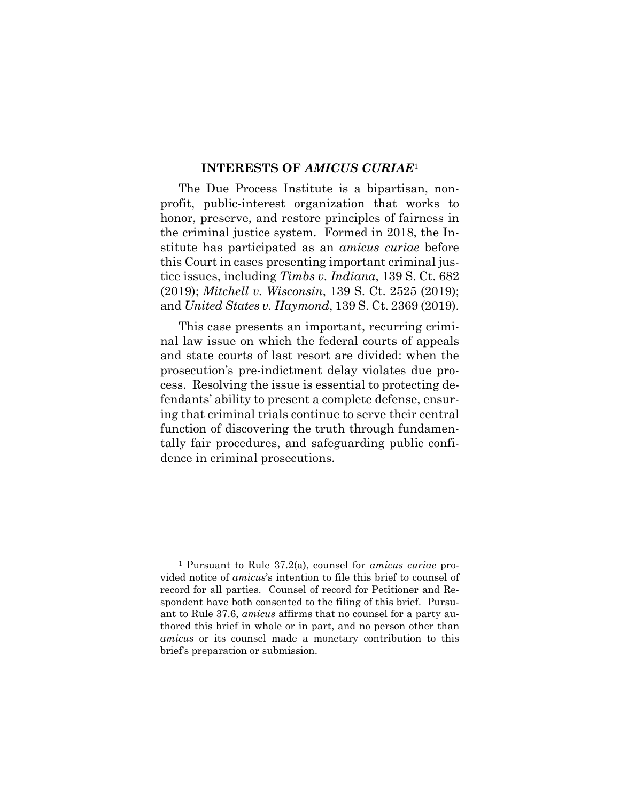#### **INTERESTS OF** *AMICUS CURIAE*<sup>1</sup>

The Due Process Institute is a bipartisan, nonprofit, public-interest organization that works to honor, preserve, and restore principles of fairness in the criminal justice system. Formed in 2018, the Institute has participated as an *amicus curiae* before this Court in cases presenting important criminal justice issues, including *Timbs v. Indiana*, 139 S. Ct. 682 (2019); *Mitchell v. Wisconsin*, 139 S. Ct. 2525 (2019); and *United States v. Haymond*, 139 S. Ct. 2369 (2019).

This case presents an important, recurring criminal law issue on which the federal courts of appeals and state courts of last resort are divided: when the prosecution's pre-indictment delay violates due process. Resolving the issue is essential to protecting defendants' ability to present a complete defense, ensuring that criminal trials continue to serve their central function of discovering the truth through fundamentally fair procedures, and safeguarding public confidence in criminal prosecutions.

 $\overline{a}$ 

<sup>1</sup> Pursuant to Rule 37.2(a), counsel for *amicus curiae* provided notice of *amicus*'s intention to file this brief to counsel of record for all parties. Counsel of record for Petitioner and Respondent have both consented to the filing of this brief. Pursuant to Rule 37.6, *amicus* affirms that no counsel for a party authored this brief in whole or in part, and no person other than *amicus* or its counsel made a monetary contribution to this brief's preparation or submission.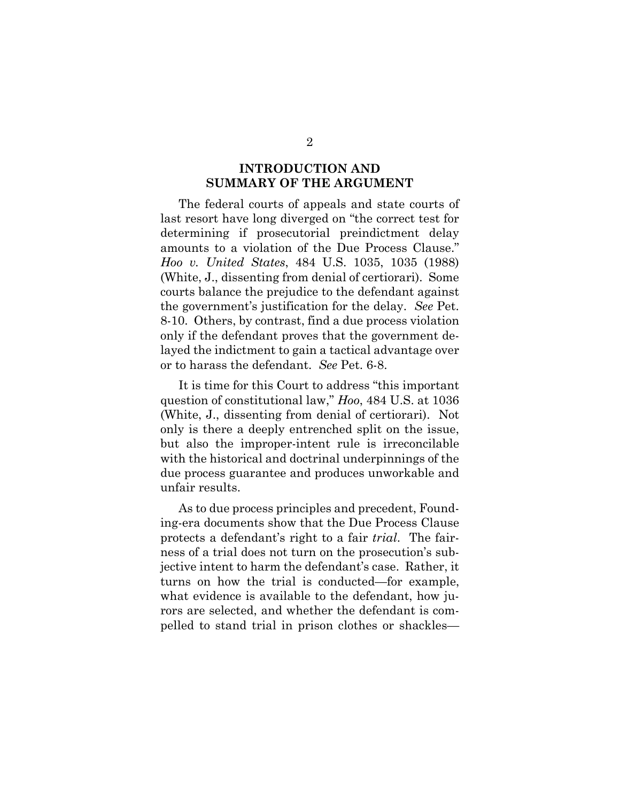### **INTRODUCTION AND SUMMARY OF THE ARGUMENT**

The federal courts of appeals and state courts of last resort have long diverged on "the correct test for determining if prosecutorial preindictment delay amounts to a violation of the Due Process Clause." *Hoo v. United States*, 484 U.S. 1035, 1035 (1988) (White, J., dissenting from denial of certiorari). Some courts balance the prejudice to the defendant against the government's justification for the delay. *See* Pet. 8-10. Others, by contrast, find a due process violation only if the defendant proves that the government delayed the indictment to gain a tactical advantage over or to harass the defendant. *See* Pet. 6-8.

It is time for this Court to address "this important question of constitutional law," *Hoo*, 484 U.S. at 1036 (White, J., dissenting from denial of certiorari). Not only is there a deeply entrenched split on the issue, but also the improper-intent rule is irreconcilable with the historical and doctrinal underpinnings of the due process guarantee and produces unworkable and unfair results.

As to due process principles and precedent, Founding-era documents show that the Due Process Clause protects a defendant's right to a fair *trial*. The fairness of a trial does not turn on the prosecution's subjective intent to harm the defendant's case. Rather, it turns on how the trial is conducted—for example, what evidence is available to the defendant, how jurors are selected, and whether the defendant is compelled to stand trial in prison clothes or shackles—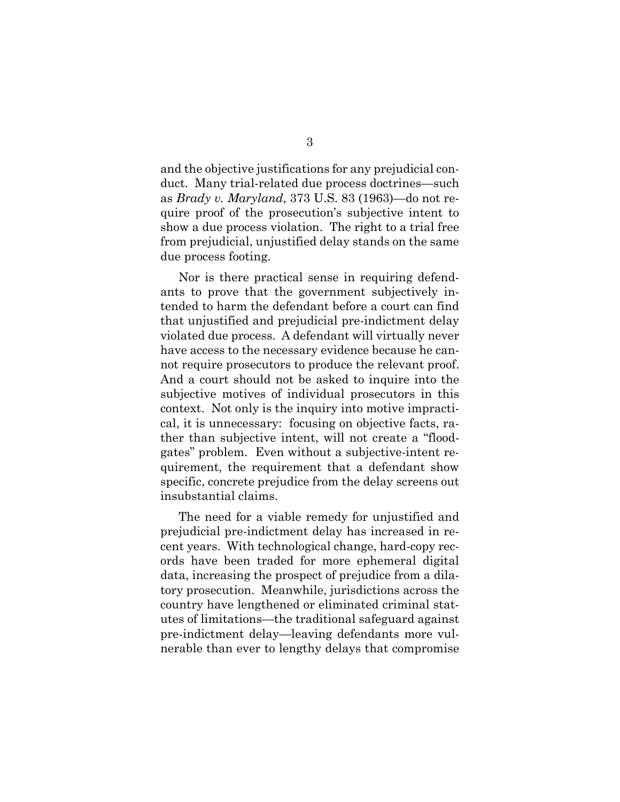and the objective justifications for any prejudicial conduct. Many trial-related due process doctrines—such as *Brady v. Maryland*, 373 U.S. 83 (1963)—do not require proof of the prosecution's subjective intent to show a due process violation. The right to a trial free from prejudicial, unjustified delay stands on the same due process footing.

Nor is there practical sense in requiring defendants to prove that the government subjectively intended to harm the defendant before a court can find that unjustified and prejudicial pre-indictment delay violated due process. A defendant will virtually never have access to the necessary evidence because he cannot require prosecutors to produce the relevant proof. And a court should not be asked to inquire into the subjective motives of individual prosecutors in this context. Not only is the inquiry into motive impractical, it is unnecessary: focusing on objective facts, rather than subjective intent, will not create a "floodgates" problem. Even without a subjective-intent requirement, the requirement that a defendant show specific, concrete prejudice from the delay screens out insubstantial claims.

The need for a viable remedy for unjustified and prejudicial pre-indictment delay has increased in recent years. With technological change, hard-copy records have been traded for more ephemeral digital data, increasing the prospect of prejudice from a dilatory prosecution. Meanwhile, jurisdictions across the country have lengthened or eliminated criminal statutes of limitations—the traditional safeguard against pre-indictment delay—leaving defendants more vulnerable than ever to lengthy delays that compromise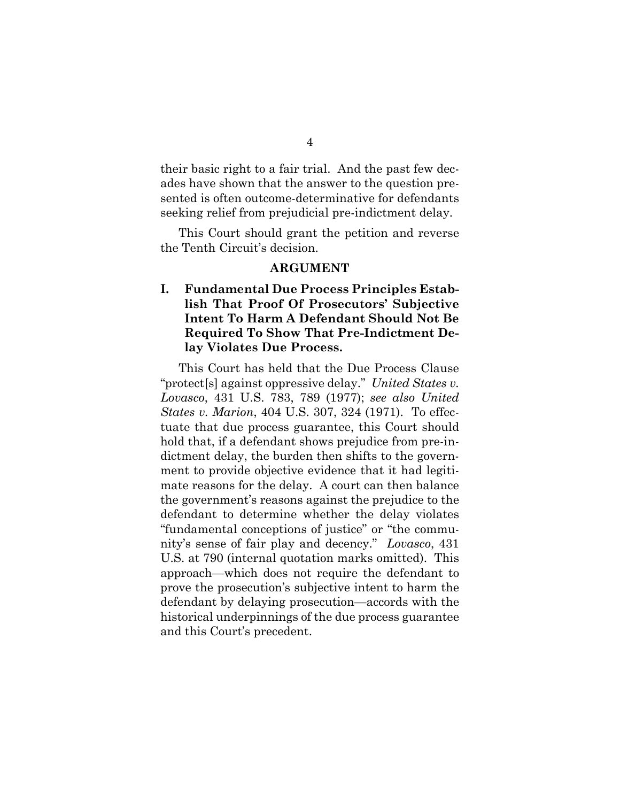their basic right to a fair trial. And the past few decades have shown that the answer to the question presented is often outcome-determinative for defendants seeking relief from prejudicial pre-indictment delay.

This Court should grant the petition and reverse the Tenth Circuit's decision.

#### **ARGUMENT**

### **I. Fundamental Due Process Principles Establish That Proof Of Prosecutors' Subjective Intent To Harm A Defendant Should Not Be Required To Show That Pre-Indictment Delay Violates Due Process.**

This Court has held that the Due Process Clause "protect[s] against oppressive delay." *United States v. Lovasco*, 431 U.S. 783, 789 (1977); *see also United States v. Marion*, 404 U.S. 307, 324 (1971). To effectuate that due process guarantee, this Court should hold that, if a defendant shows prejudice from pre-indictment delay, the burden then shifts to the government to provide objective evidence that it had legitimate reasons for the delay. A court can then balance the government's reasons against the prejudice to the defendant to determine whether the delay violates "fundamental conceptions of justice" or "the community's sense of fair play and decency." *Lovasco*, 431 U.S. at 790 (internal quotation marks omitted). This approach—which does not require the defendant to prove the prosecution's subjective intent to harm the defendant by delaying prosecution—accords with the historical underpinnings of the due process guarantee and this Court's precedent.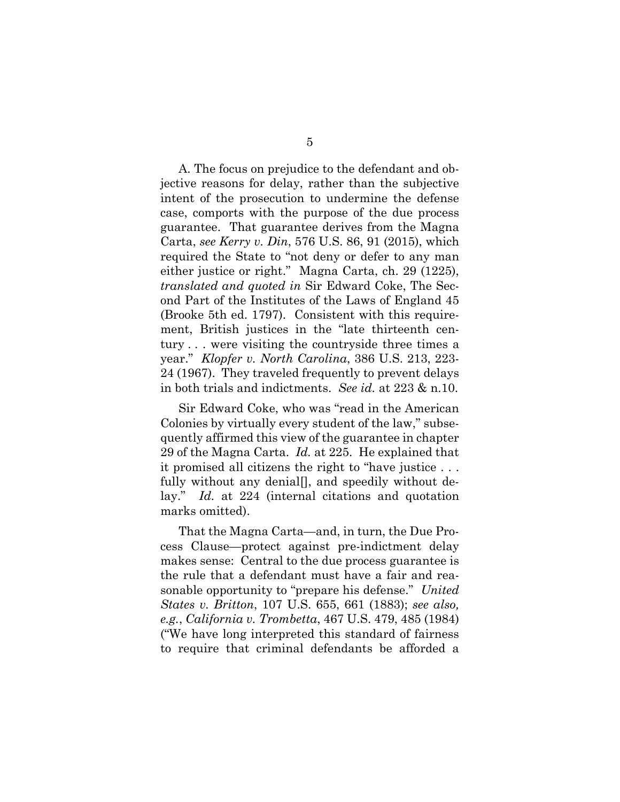A. The focus on prejudice to the defendant and objective reasons for delay, rather than the subjective intent of the prosecution to undermine the defense case, comports with the purpose of the due process guarantee. That guarantee derives from the Magna Carta, *see Kerry v. Din*, 576 U.S. 86, 91 (2015), which required the State to "not deny or defer to any man either justice or right." Magna Carta, ch. 29 (1225), *translated and quoted in* Sir Edward Coke, The Second Part of the Institutes of the Laws of England 45 (Brooke 5th ed. 1797). Consistent with this requirement, British justices in the "late thirteenth century . . . were visiting the countryside three times a year." *Klopfer v. North Carolina*, 386 U.S. 213, 223- 24 (1967). They traveled frequently to prevent delays in both trials and indictments. *See id.* at 223 & n.10.

Sir Edward Coke, who was "read in the American Colonies by virtually every student of the law," subsequently affirmed this view of the guarantee in chapter 29 of the Magna Carta. *Id.* at 225. He explained that it promised all citizens the right to "have justice . . . fully without any denial[], and speedily without delay." *Id.* at 224 (internal citations and quotation marks omitted).

That the Magna Carta—and, in turn, the Due Process Clause—protect against pre-indictment delay makes sense: Central to the due process guarantee is the rule that a defendant must have a fair and reasonable opportunity to "prepare his defense." *United States v. Britton*, 107 U.S. 655, 661 (1883); *see also, e.g.*, *California v. Trombetta*, 467 U.S. 479, 485 (1984) ("We have long interpreted this standard of fairness to require that criminal defendants be afforded a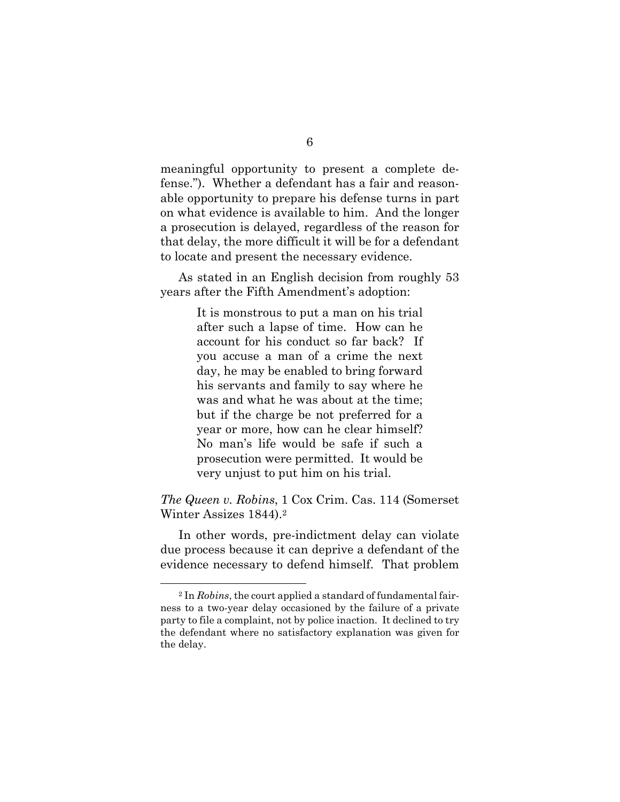meaningful opportunity to present a complete defense."). Whether a defendant has a fair and reasonable opportunity to prepare his defense turns in part on what evidence is available to him. And the longer a prosecution is delayed, regardless of the reason for that delay, the more difficult it will be for a defendant to locate and present the necessary evidence.

As stated in an English decision from roughly 53 years after the Fifth Amendment's adoption:

> It is monstrous to put a man on his trial after such a lapse of time. How can he account for his conduct so far back? If you accuse a man of a crime the next day, he may be enabled to bring forward his servants and family to say where he was and what he was about at the time; but if the charge be not preferred for a year or more, how can he clear himself? No man's life would be safe if such a prosecution were permitted. It would be very unjust to put him on his trial.

*The Queen v. Robins*, 1 Cox Crim. Cas. 114 (Somerset Winter Assizes 1844).2

In other words, pre-indictment delay can violate due process because it can deprive a defendant of the evidence necessary to defend himself. That problem

 $\overline{a}$ 

<sup>2</sup> In *Robins*, the court applied a standard of fundamental fairness to a two-year delay occasioned by the failure of a private party to file a complaint, not by police inaction. It declined to try the defendant where no satisfactory explanation was given for the delay.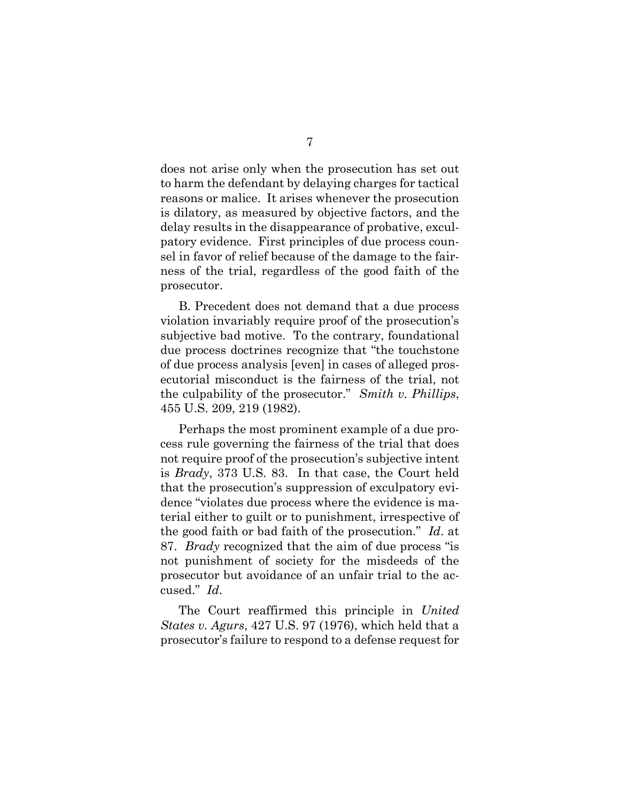does not arise only when the prosecution has set out to harm the defendant by delaying charges for tactical reasons or malice. It arises whenever the prosecution is dilatory, as measured by objective factors, and the delay results in the disappearance of probative, exculpatory evidence. First principles of due process counsel in favor of relief because of the damage to the fairness of the trial, regardless of the good faith of the prosecutor.

B. Precedent does not demand that a due process violation invariably require proof of the prosecution's subjective bad motive. To the contrary, foundational due process doctrines recognize that "the touchstone of due process analysis [even] in cases of alleged prosecutorial misconduct is the fairness of the trial, not the culpability of the prosecutor." *Smith v. Phillips*, 455 U.S. 209, 219 (1982).

Perhaps the most prominent example of a due process rule governing the fairness of the trial that does not require proof of the prosecution's subjective intent is *Brady*, 373 U.S. 83. In that case, the Court held that the prosecution's suppression of exculpatory evidence "violates due process where the evidence is material either to guilt or to punishment, irrespective of the good faith or bad faith of the prosecution." *Id*. at 87. *Brady* recognized that the aim of due process "is not punishment of society for the misdeeds of the prosecutor but avoidance of an unfair trial to the accused." *Id*.

The Court reaffirmed this principle in *United States v. Agurs*, 427 U.S. 97 (1976), which held that a prosecutor's failure to respond to a defense request for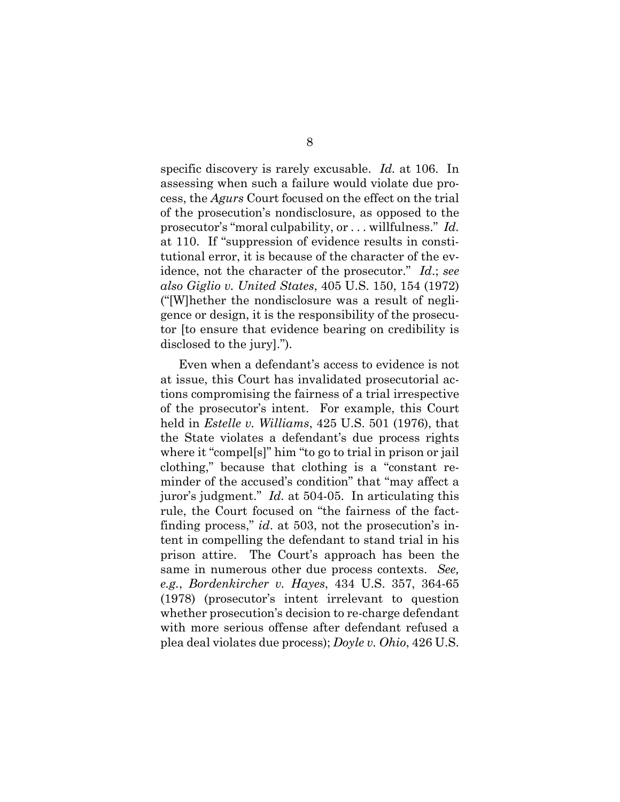specific discovery is rarely excusable. *Id.* at 106. In assessing when such a failure would violate due process, the *Agurs* Court focused on the effect on the trial of the prosecution's nondisclosure, as opposed to the prosecutor's "moral culpability, or . . . willfulness." *Id.*  at 110. If "suppression of evidence results in constitutional error, it is because of the character of the evidence, not the character of the prosecutor." *Id*.; *see also Giglio v. United States*, 405 U.S. 150, 154 (1972) ("[W]hether the nondisclosure was a result of negligence or design, it is the responsibility of the prosecutor [to ensure that evidence bearing on credibility is disclosed to the jury].").

Even when a defendant's access to evidence is not at issue, this Court has invalidated prosecutorial actions compromising the fairness of a trial irrespective of the prosecutor's intent. For example, this Court held in *Estelle v. Williams*, 425 U.S. 501 (1976), that the State violates a defendant's due process rights where it "compel[s]" him "to go to trial in prison or jail clothing," because that clothing is a "constant reminder of the accused's condition" that "may affect a juror's judgment." *Id.* at 504-05. In articulating this rule, the Court focused on "the fairness of the factfinding process," *id*. at 503, not the prosecution's intent in compelling the defendant to stand trial in his prison attire. The Court's approach has been the same in numerous other due process contexts. *See, e.g.*, *Bordenkircher v. Hayes*, 434 U.S. 357, 364-65 (1978) (prosecutor's intent irrelevant to question whether prosecution's decision to re-charge defendant with more serious offense after defendant refused a plea deal violates due process); *Doyle v. Ohio*, 426 U.S.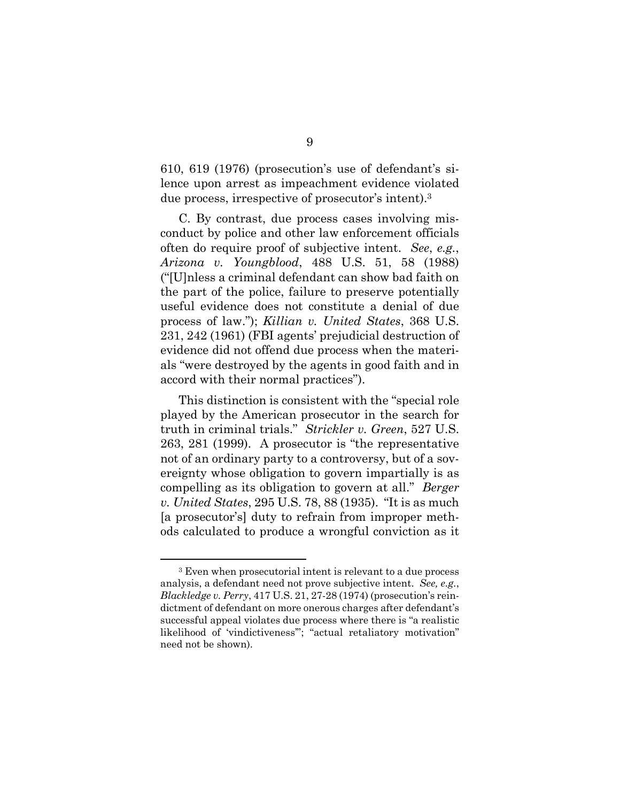610, 619 (1976) (prosecution's use of defendant's silence upon arrest as impeachment evidence violated due process, irrespective of prosecutor's intent).3

C. By contrast, due process cases involving misconduct by police and other law enforcement officials often do require proof of subjective intent. *See*, *e.g.*, *Arizona v. Youngblood*, 488 U.S. 51, 58 (1988) ("[U]nless a criminal defendant can show bad faith on the part of the police, failure to preserve potentially useful evidence does not constitute a denial of due process of law."); *Killian v. United States*, 368 U.S. 231, 242 (1961) (FBI agents' prejudicial destruction of evidence did not offend due process when the materials "were destroyed by the agents in good faith and in accord with their normal practices").

This distinction is consistent with the "special role played by the American prosecutor in the search for truth in criminal trials." *Strickler v. Green*, 527 U.S. 263, 281 (1999). A prosecutor is "the representative not of an ordinary party to a controversy, but of a sovereignty whose obligation to govern impartially is as compelling as its obligation to govern at all." *Berger v. United States*, 295 U.S. 78, 88 (1935). "It is as much [a prosecutor's] duty to refrain from improper methods calculated to produce a wrongful conviction as it

 $\overline{a}$ 

<sup>3</sup> Even when prosecutorial intent is relevant to a due process analysis, a defendant need not prove subjective intent. *See, e.g.*, *Blackledge v. Perry*, 417 U.S. 21, 27-28 (1974) (prosecution's reindictment of defendant on more onerous charges after defendant's successful appeal violates due process where there is "a realistic likelihood of 'vindictiveness'"; "actual retaliatory motivation" need not be shown).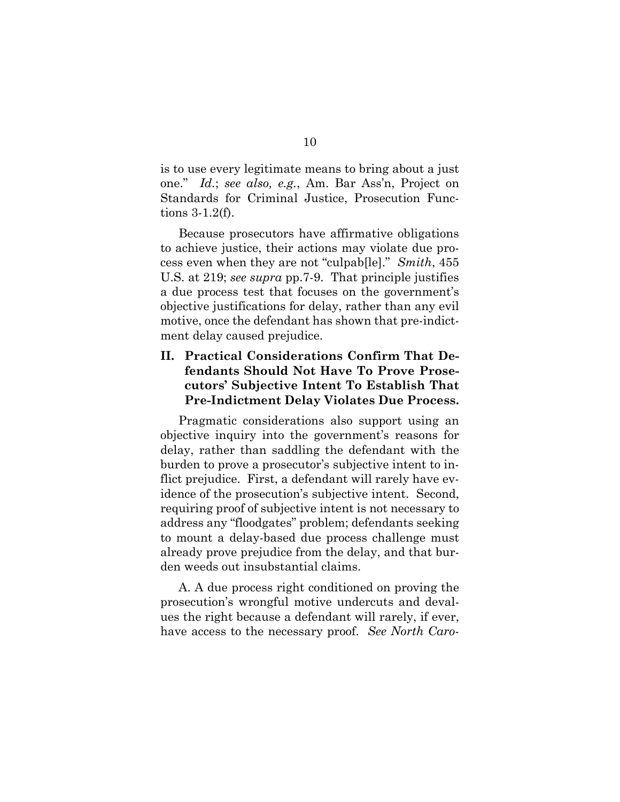is to use every legitimate means to bring about a just one." *Id.*; *see also, e.g.*, Am. Bar Ass'n, Project on Standards for Criminal Justice, Prosecution Functions 3-1.2(f).

Because prosecutors have affirmative obligations to achieve justice, their actions may violate due process even when they are not "culpab[le]." *Smith*, 455 U.S. at 219; *see supra* pp.7-9. That principle justifies a due process test that focuses on the government's objective justifications for delay, rather than any evil motive, once the defendant has shown that pre-indictment delay caused prejudice.

### **II. Practical Considerations Confirm That Defendants Should Not Have To Prove Prosecutors' Subjective Intent To Establish That Pre-Indictment Delay Violates Due Process.**

Pragmatic considerations also support using an objective inquiry into the government's reasons for delay, rather than saddling the defendant with the burden to prove a prosecutor's subjective intent to inflict prejudice. First, a defendant will rarely have evidence of the prosecution's subjective intent. Second, requiring proof of subjective intent is not necessary to address any "floodgates" problem; defendants seeking to mount a delay-based due process challenge must already prove prejudice from the delay, and that burden weeds out insubstantial claims.

A. A due process right conditioned on proving the prosecution's wrongful motive undercuts and devalues the right because a defendant will rarely, if ever, have access to the necessary proof. *See North Caro-*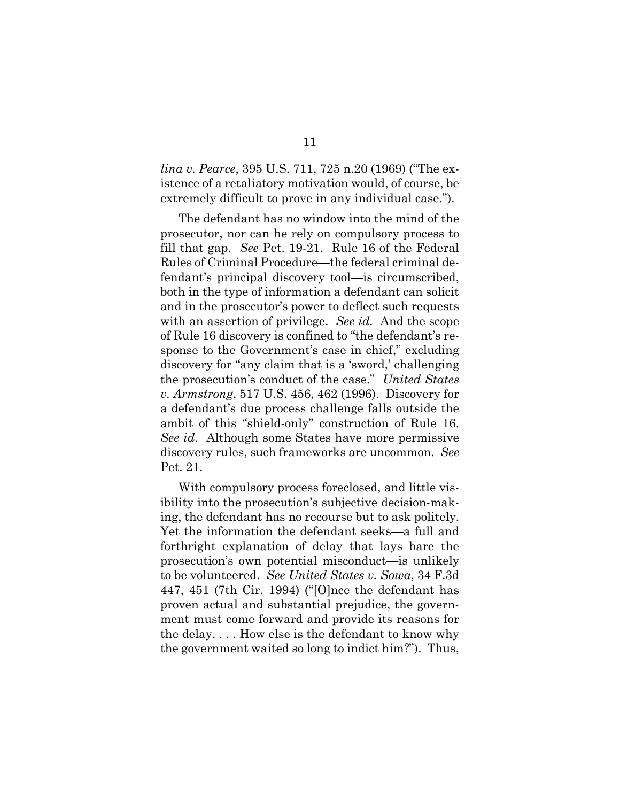*lina v. Pearce*, 395 U.S. 711, 725 n.20 (1969) ("The existence of a retaliatory motivation would, of course, be extremely difficult to prove in any individual case.").

The defendant has no window into the mind of the prosecutor, nor can he rely on compulsory process to fill that gap. *See* Pet. 19-21. Rule 16 of the Federal Rules of Criminal Procedure—the federal criminal defendant's principal discovery tool—is circumscribed, both in the type of information a defendant can solicit and in the prosecutor's power to deflect such requests with an assertion of privilege. *See id.* And the scope of Rule 16 discovery is confined to "the defendant's response to the Government's case in chief," excluding discovery for "any claim that is a 'sword,' challenging the prosecution's conduct of the case." *United States v. Armstrong*, 517 U.S. 456, 462 (1996). Discovery for a defendant's due process challenge falls outside the ambit of this "shield-only" construction of Rule 16. *See id*. Although some States have more permissive discovery rules, such frameworks are uncommon. *See*  Pet. 21.

With compulsory process foreclosed, and little visibility into the prosecution's subjective decision-making, the defendant has no recourse but to ask politely. Yet the information the defendant seeks—a full and forthright explanation of delay that lays bare the prosecution's own potential misconduct—is unlikely to be volunteered. *See United States v. Sowa*, 34 F.3d 447, 451 (7th Cir. 1994) ("[O]nce the defendant has proven actual and substantial prejudice, the government must come forward and provide its reasons for the delay. . . . How else is the defendant to know why the government waited so long to indict him?"). Thus,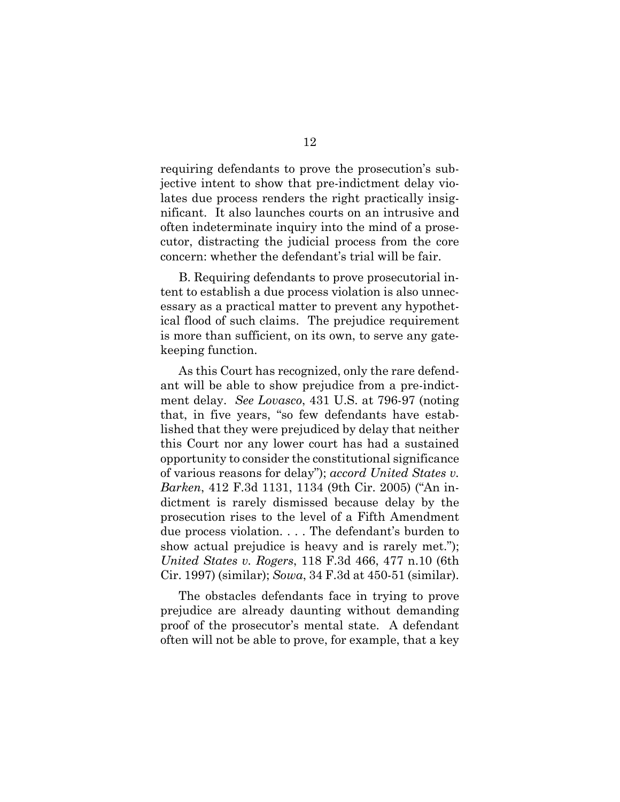requiring defendants to prove the prosecution's subjective intent to show that pre-indictment delay violates due process renders the right practically insignificant. It also launches courts on an intrusive and often indeterminate inquiry into the mind of a prosecutor, distracting the judicial process from the core concern: whether the defendant's trial will be fair.

B. Requiring defendants to prove prosecutorial intent to establish a due process violation is also unnecessary as a practical matter to prevent any hypothetical flood of such claims. The prejudice requirement is more than sufficient, on its own, to serve any gatekeeping function.

As this Court has recognized, only the rare defendant will be able to show prejudice from a pre-indictment delay. *See Lovasco*, 431 U.S. at 796-97 (noting that, in five years, "so few defendants have established that they were prejudiced by delay that neither this Court nor any lower court has had a sustained opportunity to consider the constitutional significance of various reasons for delay"); *accord United States v. Barken*, 412 F.3d 1131, 1134 (9th Cir. 2005) ("An indictment is rarely dismissed because delay by the prosecution rises to the level of a Fifth Amendment due process violation. . . . The defendant's burden to show actual prejudice is heavy and is rarely met."); *United States v. Rogers*, 118 F.3d 466, 477 n.10 (6th Cir. 1997) (similar); *Sowa*, 34 F.3d at 450-51 (similar).

The obstacles defendants face in trying to prove prejudice are already daunting without demanding proof of the prosecutor's mental state. A defendant often will not be able to prove, for example, that a key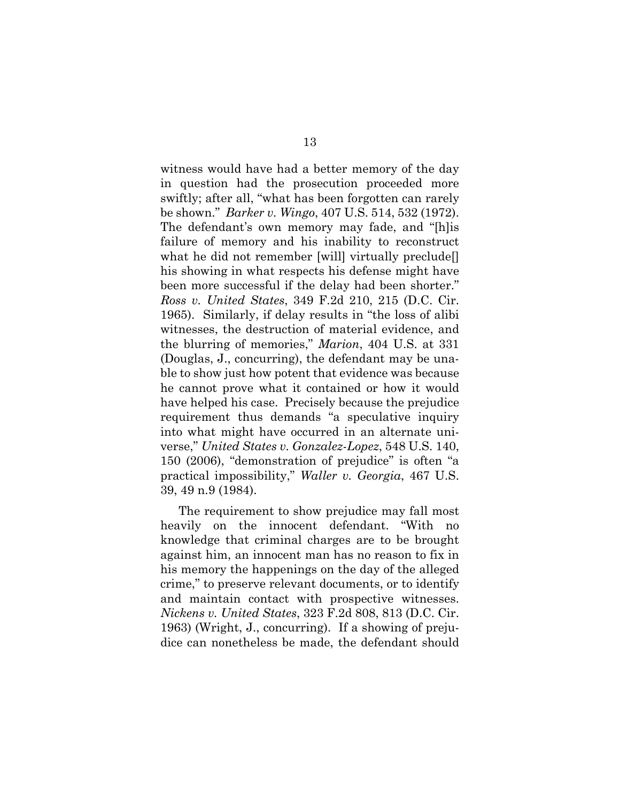witness would have had a better memory of the day in question had the prosecution proceeded more swiftly; after all, "what has been forgotten can rarely be shown." *Barker v. Wingo*, 407 U.S. 514, 532 (1972). The defendant's own memory may fade, and "[h]is failure of memory and his inability to reconstruct what he did not remember [will] virtually preclude[] his showing in what respects his defense might have been more successful if the delay had been shorter." *Ross v. United States*, 349 F.2d 210, 215 (D.C. Cir. 1965). Similarly, if delay results in "the loss of alibi witnesses, the destruction of material evidence, and the blurring of memories," *Marion*, 404 U.S. at 331 (Douglas, J., concurring), the defendant may be unable to show just how potent that evidence was because he cannot prove what it contained or how it would have helped his case. Precisely because the prejudice requirement thus demands "a speculative inquiry into what might have occurred in an alternate universe," *United States v. Gonzalez-Lopez*, 548 U.S. 140, 150 (2006), "demonstration of prejudice" is often "a practical impossibility," *Waller v. Georgia*, 467 U.S. 39, 49 n.9 (1984).

The requirement to show prejudice may fall most heavily on the innocent defendant. "With no knowledge that criminal charges are to be brought against him, an innocent man has no reason to fix in his memory the happenings on the day of the alleged crime," to preserve relevant documents, or to identify and maintain contact with prospective witnesses. *Nickens v. United States*, 323 F.2d 808, 813 (D.C. Cir. 1963) (Wright, J., concurring). If a showing of prejudice can nonetheless be made, the defendant should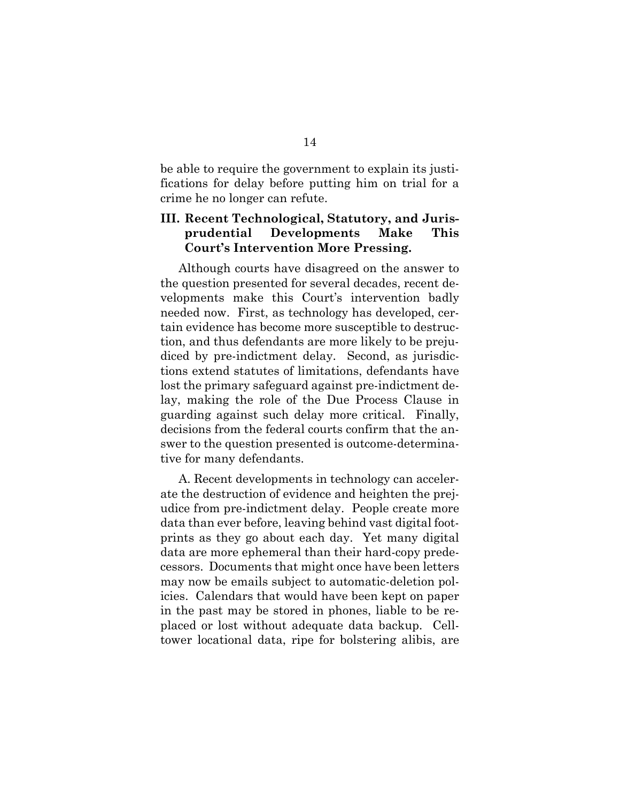be able to require the government to explain its justifications for delay before putting him on trial for a crime he no longer can refute.

### **III. Recent Technological, Statutory, and Jurisprudential Developments Make This Court's Intervention More Pressing.**

Although courts have disagreed on the answer to the question presented for several decades, recent developments make this Court's intervention badly needed now. First, as technology has developed, certain evidence has become more susceptible to destruction, and thus defendants are more likely to be prejudiced by pre-indictment delay. Second, as jurisdictions extend statutes of limitations, defendants have lost the primary safeguard against pre-indictment delay, making the role of the Due Process Clause in guarding against such delay more critical. Finally, decisions from the federal courts confirm that the answer to the question presented is outcome-determinative for many defendants.

A. Recent developments in technology can accelerate the destruction of evidence and heighten the prejudice from pre-indictment delay. People create more data than ever before, leaving behind vast digital footprints as they go about each day. Yet many digital data are more ephemeral than their hard-copy predecessors. Documents that might once have been letters may now be emails subject to automatic-deletion policies. Calendars that would have been kept on paper in the past may be stored in phones, liable to be replaced or lost without adequate data backup. Celltower locational data, ripe for bolstering alibis, are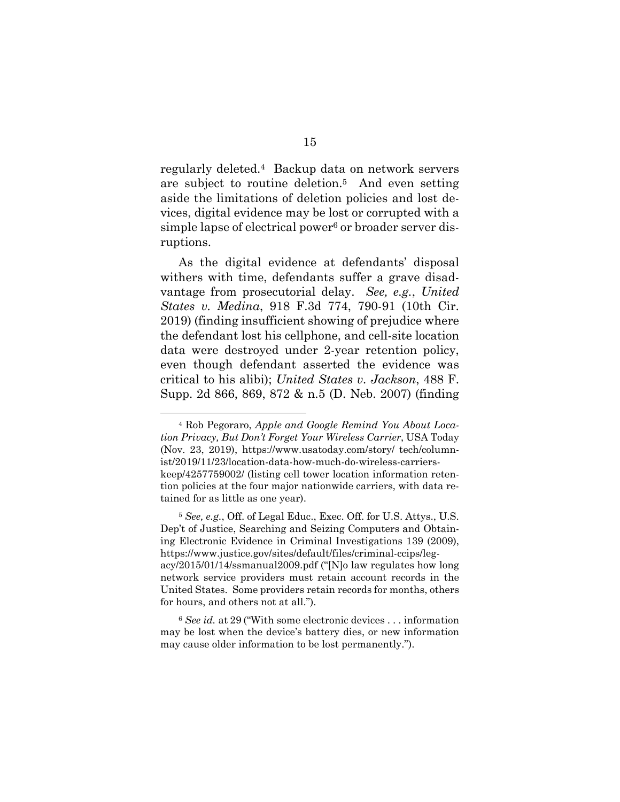regularly deleted.4 Backup data on network servers are subject to routine deletion.5 And even setting aside the limitations of deletion policies and lost devices, digital evidence may be lost or corrupted with a simple lapse of electrical power<sup>6</sup> or broader server disruptions.

As the digital evidence at defendants' disposal withers with time, defendants suffer a grave disadvantage from prosecutorial delay. *See, e.g.*, *United States v. Medina*, 918 F.3d 774, 790-91 (10th Cir. 2019) (finding insufficient showing of prejudice where the defendant lost his cellphone, and cell-site location data were destroyed under 2-year retention policy, even though defendant asserted the evidence was critical to his alibi); *United States v. Jackson*, 488 F. Supp. 2d 866, 869, 872 & n.5 (D. Neb. 2007) (finding

 $\overline{a}$ 

<sup>4</sup> Rob Pegoraro, *Apple and Google Remind You About Location Privacy, But Don't Forget Your Wireless Carrier*, USA Today (Nov. 23, 2019), https://www.usatoday.com/story/ tech/columnist/2019/11/23/location-data-how-much-do-wireless-carrierskeep/4257759002/ (listing cell tower location information retention policies at the four major nationwide carriers, with data retained for as little as one year).

<sup>5</sup> *See, e.g.*, Off. of Legal Educ., Exec. Off. for U.S. Attys., U.S. Dep't of Justice, Searching and Seizing Computers and Obtaining Electronic Evidence in Criminal Investigations 139 (2009), https://www.justice.gov/sites/default/files/criminal-ccips/legacy/2015/01/14/ssmanual2009.pdf ("[N]o law regulates how long network service providers must retain account records in the United States. Some providers retain records for months, others for hours, and others not at all.").

<sup>6</sup> *See id.* at 29 ("With some electronic devices . . . information may be lost when the device's battery dies, or new information may cause older information to be lost permanently.").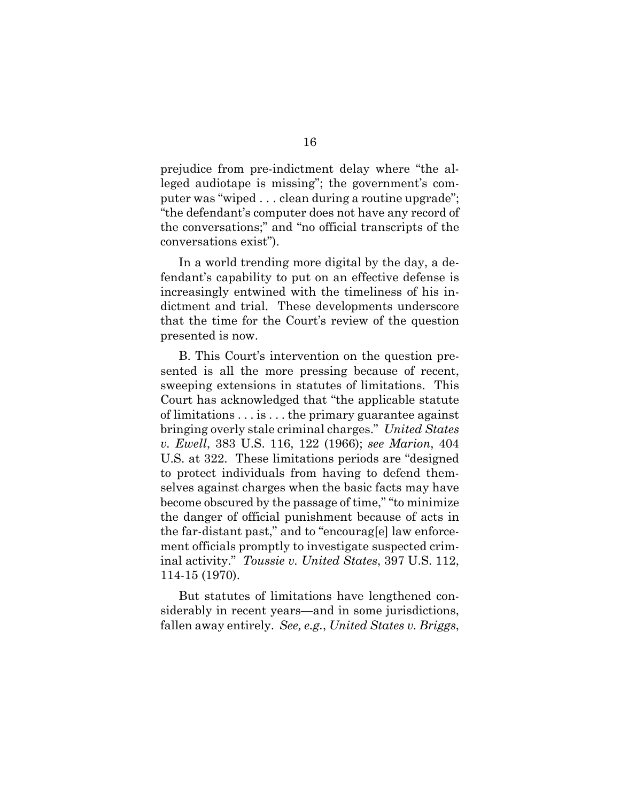prejudice from pre-indictment delay where "the alleged audiotape is missing"; the government's computer was "wiped . . . clean during a routine upgrade"; "the defendant's computer does not have any record of the conversations;" and "no official transcripts of the conversations exist").

In a world trending more digital by the day, a defendant's capability to put on an effective defense is increasingly entwined with the timeliness of his indictment and trial. These developments underscore that the time for the Court's review of the question presented is now.

B. This Court's intervention on the question presented is all the more pressing because of recent, sweeping extensions in statutes of limitations. This Court has acknowledged that "the applicable statute of limitations . . . is . . . the primary guarantee against bringing overly stale criminal charges." *United States v. Ewell*, 383 U.S. 116, 122 (1966); *see Marion*, 404 U.S. at 322. These limitations periods are "designed to protect individuals from having to defend themselves against charges when the basic facts may have become obscured by the passage of time," "to minimize the danger of official punishment because of acts in the far-distant past," and to "encourag[e] law enforcement officials promptly to investigate suspected criminal activity." *Toussie v. United States*, 397 U.S. 112, 114-15 (1970).

But statutes of limitations have lengthened considerably in recent years—and in some jurisdictions, fallen away entirely. *See, e.g.*, *United States v. Briggs*,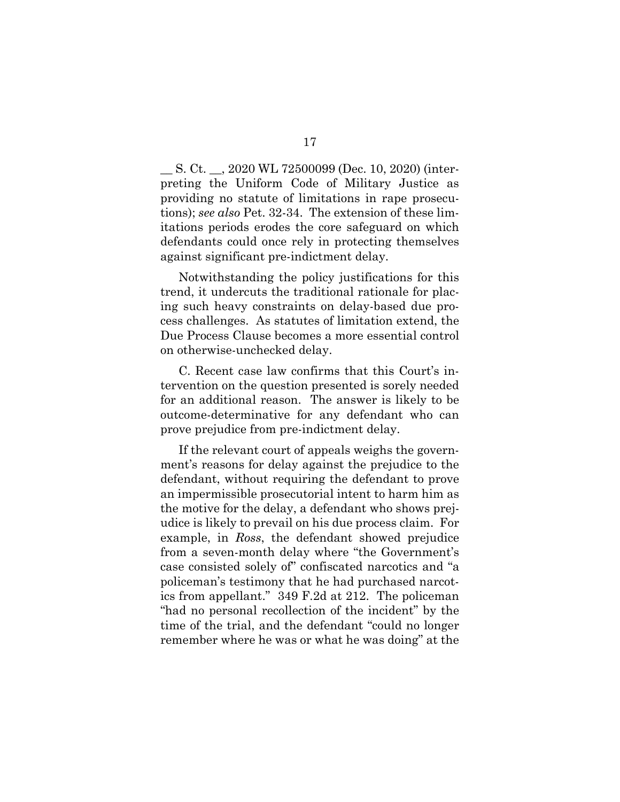\_\_ S. Ct. \_\_, 2020 WL 72500099 (Dec. 10, 2020) (interpreting the Uniform Code of Military Justice as providing no statute of limitations in rape prosecutions); *see also* Pet. 32-34. The extension of these limitations periods erodes the core safeguard on which defendants could once rely in protecting themselves against significant pre-indictment delay.

Notwithstanding the policy justifications for this trend, it undercuts the traditional rationale for placing such heavy constraints on delay-based due process challenges. As statutes of limitation extend, the Due Process Clause becomes a more essential control on otherwise-unchecked delay.

C. Recent case law confirms that this Court's intervention on the question presented is sorely needed for an additional reason. The answer is likely to be outcome-determinative for any defendant who can prove prejudice from pre-indictment delay.

If the relevant court of appeals weighs the government's reasons for delay against the prejudice to the defendant, without requiring the defendant to prove an impermissible prosecutorial intent to harm him as the motive for the delay, a defendant who shows prejudice is likely to prevail on his due process claim. For example, in *Ross*, the defendant showed prejudice from a seven-month delay where "the Government's case consisted solely of" confiscated narcotics and "a policeman's testimony that he had purchased narcotics from appellant." 349 F.2d at 212. The policeman "had no personal recollection of the incident" by the time of the trial, and the defendant "could no longer remember where he was or what he was doing" at the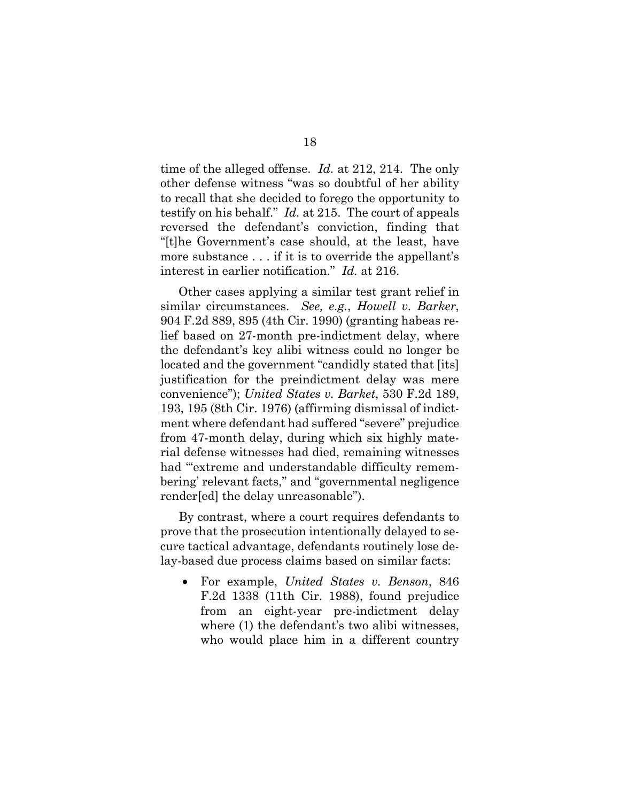time of the alleged offense. *Id.* at 212, 214. The only other defense witness "was so doubtful of her ability to recall that she decided to forego the opportunity to testify on his behalf." *Id.* at 215. The court of appeals reversed the defendant's conviction, finding that "[t]he Government's case should, at the least, have more substance . . . if it is to override the appellant's interest in earlier notification." *Id.* at 216.

Other cases applying a similar test grant relief in similar circumstances. *See, e.g.*, *Howell v. Barker*, 904 F.2d 889, 895 (4th Cir. 1990) (granting habeas relief based on 27-month pre-indictment delay, where the defendant's key alibi witness could no longer be located and the government "candidly stated that [its] justification for the preindictment delay was mere convenience"); *United States v. Barket*, 530 F.2d 189, 193, 195 (8th Cir. 1976) (affirming dismissal of indictment where defendant had suffered "severe" prejudice from 47-month delay, during which six highly material defense witnesses had died, remaining witnesses had "'extreme and understandable difficulty remembering' relevant facts," and "governmental negligence render[ed] the delay unreasonable").

By contrast, where a court requires defendants to prove that the prosecution intentionally delayed to secure tactical advantage, defendants routinely lose delay-based due process claims based on similar facts:

• For example, *United States v. Benson*, 846 F.2d 1338 (11th Cir. 1988), found prejudice from an eight-year pre-indictment delay where (1) the defendant's two alibi witnesses, who would place him in a different country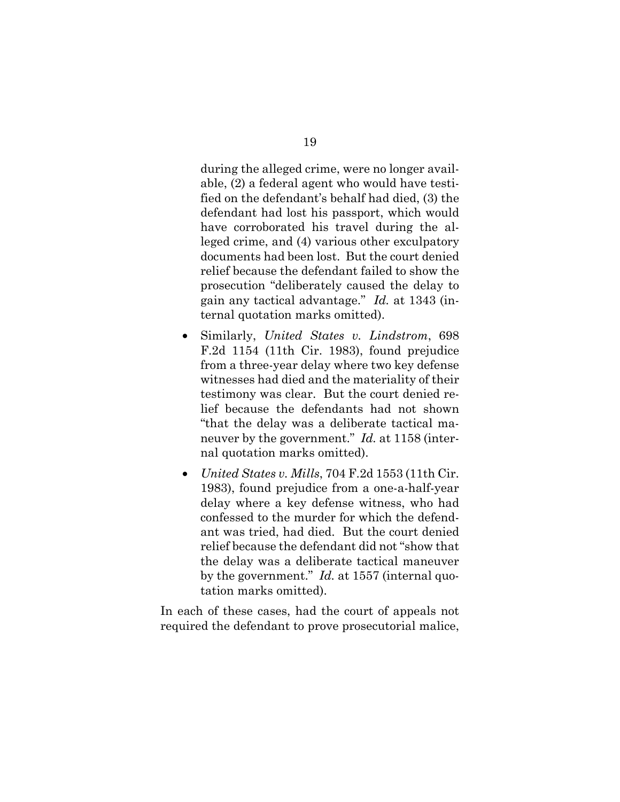during the alleged crime, were no longer available, (2) a federal agent who would have testified on the defendant's behalf had died, (3) the defendant had lost his passport, which would have corroborated his travel during the alleged crime, and (4) various other exculpatory documents had been lost. But the court denied relief because the defendant failed to show the prosecution "deliberately caused the delay to gain any tactical advantage." *Id.* at 1343 (internal quotation marks omitted).

- Similarly, *United States v. Lindstrom*, 698 F.2d 1154 (11th Cir. 1983), found prejudice from a three-year delay where two key defense witnesses had died and the materiality of their testimony was clear. But the court denied relief because the defendants had not shown "that the delay was a deliberate tactical maneuver by the government." *Id.* at 1158 (internal quotation marks omitted).
- *United States v. Mills*, 704 F.2d 1553 (11th Cir. 1983), found prejudice from a one-a-half-year delay where a key defense witness, who had confessed to the murder for which the defendant was tried, had died. But the court denied relief because the defendant did not "show that the delay was a deliberate tactical maneuver by the government." *Id.* at 1557 (internal quotation marks omitted).

In each of these cases, had the court of appeals not required the defendant to prove prosecutorial malice,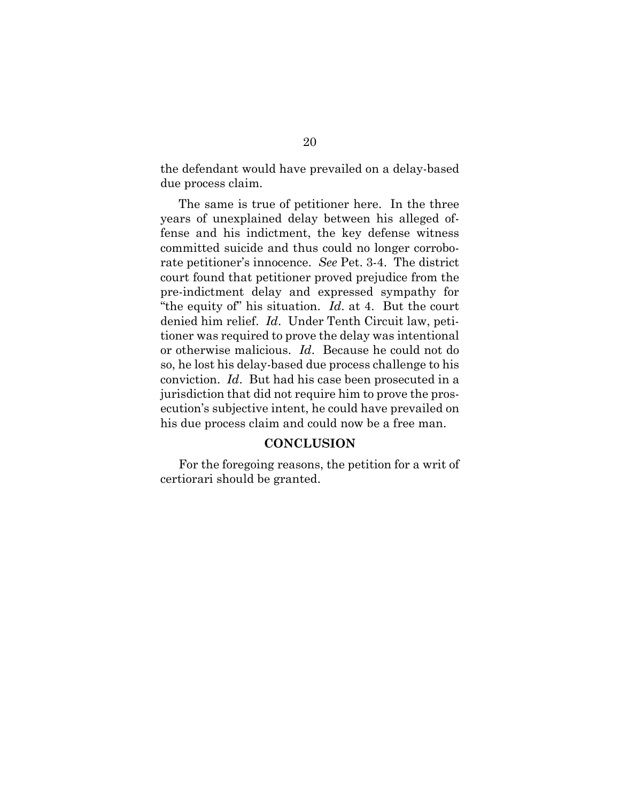the defendant would have prevailed on a delay-based due process claim.

The same is true of petitioner here. In the three years of unexplained delay between his alleged offense and his indictment, the key defense witness committed suicide and thus could no longer corroborate petitioner's innocence. *See* Pet. 3-4. The district court found that petitioner proved prejudice from the pre-indictment delay and expressed sympathy for "the equity of" his situation. *Id*. at 4. But the court denied him relief. *Id*. Under Tenth Circuit law, petitioner was required to prove the delay was intentional or otherwise malicious. *Id*. Because he could not do so, he lost his delay-based due process challenge to his conviction. *Id*. But had his case been prosecuted in a jurisdiction that did not require him to prove the prosecution's subjective intent, he could have prevailed on his due process claim and could now be a free man.

#### **CONCLUSION**

For the foregoing reasons, the petition for a writ of certiorari should be granted.